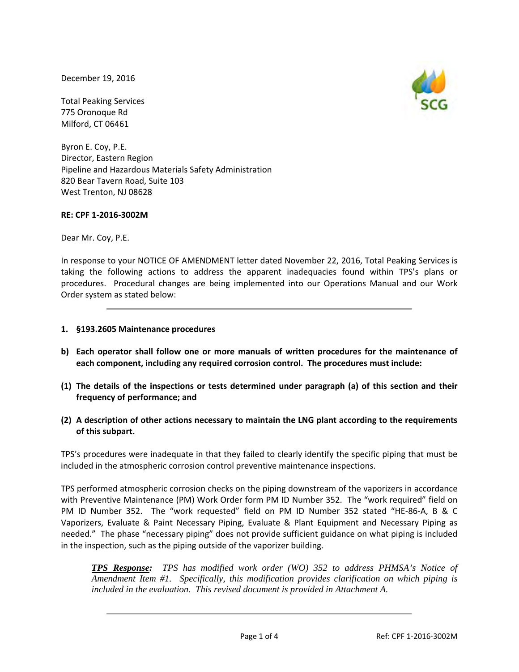December 19, 2016

Total Peaking Services 775 Oronoque Rd Milford, CT 06461

Byron E. Coy, P.E. Director, Eastern Region Pipeline and Hazardous Materials Safety Administration 820 Bear Tavern Road, Suite 103 West Trenton, NJ 08628

# **RE: CPF 1‐2016‐3002M**

Dear Mr. Coy, P.E.

In response to your NOTICE OF AMENDMENT letter dated November 22, 2016, Total Peaking Services is taking the following actions to address the apparent inadequacies found within TPS's plans or procedures. Procedural changes are being implemented into our Operations Manual and our Work Order system as stated below:

# **1. §193.2605 Maintenance procedures**

- **b) Each operator shall follow one or more manuals of written procedures for the maintenance of each component, including any required corrosion control. The procedures must include:**
- (1) The details of the inspections or tests determined under paragraph (a) of this section and their **frequency of performance; and**
- **(2) A description of other actions necessary to maintain the LNG plant according to the requirements of this subpart.**

TPS's procedures were inadequate in that they failed to clearly identify the specific piping that must be included in the atmospheric corrosion control preventive maintenance inspections.

TPS performed atmospheric corrosion checks on the piping downstream of the vaporizers in accordance with Preventive Maintenance (PM) Work Order form PM ID Number 352. The "work required" field on PM ID Number 352. The "work requested" field on PM ID Number 352 stated "HE‐86‐A, B & C Vaporizers, Evaluate & Paint Necessary Piping, Evaluate & Plant Equipment and Necessary Piping as needed." The phase "necessary piping" does not provide sufficient guidance on what piping is included in the inspection, such as the piping outside of the vaporizer building.

*TPS Response: TPS has modified work order (WO) 352 to address PHMSA's Notice of Amendment Item #1. Specifically, this modification provides clarification on which piping is included in the evaluation. This revised document is provided in Attachment A.* 

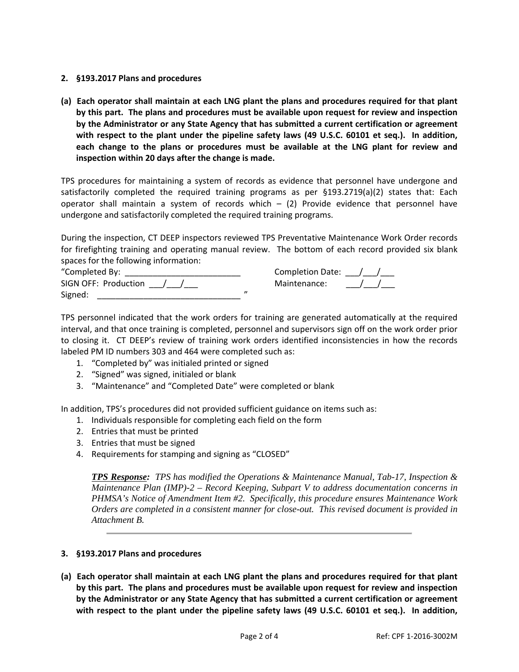## **2. §193.2017 Plans and procedures**

(a) Each operator shall maintain at each LNG plant the plans and procedures required for that plant **by this part. The plans and procedures must be available upon request for review and inspection by the Administrator or any State Agency that has submitted a current certification or agreement with respect to the plant under the pipeline safety laws (49 U.S.C. 60101 et seq.). In addition, each change to the plans or procedures must be available at the LNG plant for review and inspection within 20 days after the change is made.**

TPS procedures for maintaining a system of records as evidence that personnel have undergone and satisfactorily completed the required training programs as per §193.2719(a)(2) states that: Each operator shall maintain a system of records which  $-$  (2) Provide evidence that personnel have undergone and satisfactorily completed the required training programs.

During the inspection, CT DEEP inspectors reviewed TPS Preventative Maintenance Work Order records for firefighting training and operating manual review. The bottom of each record provided six blank spaces for the following information:

| "Completed By:         | Completion Date: / |  |
|------------------------|--------------------|--|
| SIGN OFF: Production / | Maintenance:       |  |
| Signed:                |                    |  |

TPS personnel indicated that the work orders for training are generated automatically at the required interval, and that once training is completed, personnel and supervisors sign off on the work order prior to closing it. CT DEEP's review of training work orders identified inconsistencies in how the records labeled PM ID numbers 303 and 464 were completed such as:

- 1. "Completed by" was initialed printed or signed
- 2. "Signed" was signed, initialed or blank
- 3. "Maintenance" and "Completed Date" were completed or blank

In addition, TPS's procedures did not provided sufficient guidance on items such as:

- 1. Individuals responsible for completing each field on the form
- 2. Entries that must be printed
- 3. Entries that must be signed
- 4. Requirements for stamping and signing as "CLOSED"

*TPS Response: TPS has modified the Operations & Maintenance Manual, Tab-17, Inspection & Maintenance Plan (IMP)-2 – Record Keeping, Subpart V to address documentation concerns in PHMSA's Notice of Amendment Item #2. Specifically, this procedure ensures Maintenance Work Orders are completed in a consistent manner for close-out. This revised document is provided in Attachment B.* 

## **3. §193.2017 Plans and procedures**

(a) Each operator shall maintain at each LNG plant the plans and procedures required for that plant **by this part. The plans and procedures must be available upon request for review and inspection by the Administrator or any State Agency that has submitted a current certification or agreement with respect to the plant under the pipeline safety laws (49 U.S.C. 60101 et seq.). In addition,**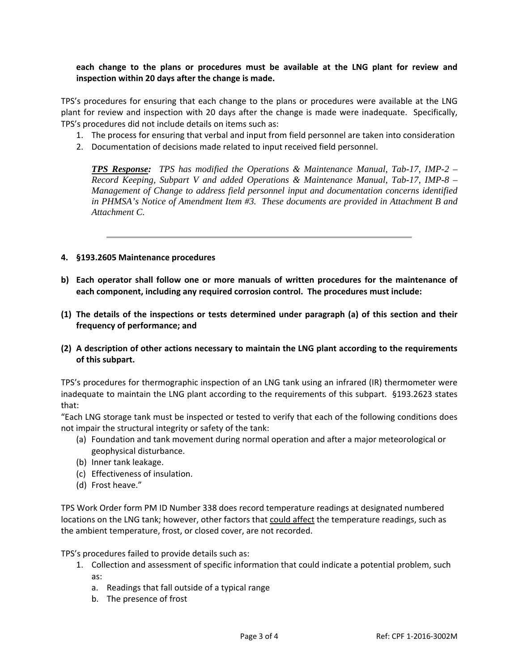**each change to the plans or procedures must be available at the LNG plant for review and inspection within 20 days after the change is made.**

TPS's procedures for ensuring that each change to the plans or procedures were available at the LNG plant for review and inspection with 20 days after the change is made were inadequate. Specifically, TPS's procedures did not include details on items such as:

- 1. The process for ensuring that verbal and input from field personnel are taken into consideration
- 2. Documentation of decisions made related to input received field personnel.

*TPS Response: TPS has modified the Operations & Maintenance Manual, Tab-17, IMP-2 – Record Keeping, Subpart V and added Operations & Maintenance Manual, Tab-17, IMP-8 – Management of Change to address field personnel input and documentation concerns identified in PHMSA's Notice of Amendment Item #3. These documents are provided in Attachment B and Attachment C.* 

## **4. §193.2605 Maintenance procedures**

- **b) Each operator shall follow one or more manuals of written procedures for the maintenance of each component, including any required corrosion control. The procedures must include:**
- (1) The details of the inspections or tests determined under paragraph (a) of this section and their **frequency of performance; and**
- **(2) A description of other actions necessary to maintain the LNG plant according to the requirements of this subpart.**

TPS's procedures for thermographic inspection of an LNG tank using an infrared (IR) thermometer were inadequate to maintain the LNG plant according to the requirements of this subpart. §193.2623 states that:

"Each LNG storage tank must be inspected or tested to verify that each of the following conditions does not impair the structural integrity or safety of the tank:

- (a) Foundation and tank movement during normal operation and after a major meteorological or geophysical disturbance.
- (b) Inner tank leakage.
- (c) Effectiveness of insulation.
- (d) Frost heave."

TPS Work Order form PM ID Number 338 does record temperature readings at designated numbered locations on the LNG tank; however, other factors that could affect the temperature readings, such as the ambient temperature, frost, or closed cover, are not recorded.

TPS's procedures failed to provide details such as:

- 1. Collection and assessment of specific information that could indicate a potential problem, such as:
	- a. Readings that fall outside of a typical range
	- b. The presence of frost